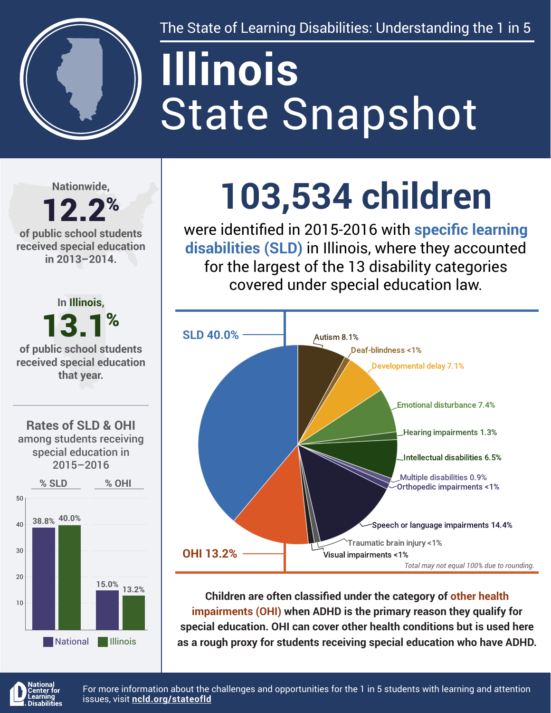

The State of Learning Disabilities: Understanding the 1 in 5

# State Snapshot **Illinois**

**Nationwide,**

#### 12.2% **of public school students received special education in 2013–2014.**



## **103,534 children**

were identified in 2015-2016 with **specific learning disabilities (SLD)** in Illinois, where they accounted for the largest of the 13 disability categories covered under special education law.



**Children are often classified under the category of other health impairments (OHI) when ADHD is the primary reason they qualify for special education. OHI can cover other health conditions but is used here as a rough proxy for students receiving special education who have ADHD.**



For more information about the challenges and opportunities for the 1 in 5 students with learning and attention issues, visit **[ncld.org/stateofld](http://ncld.org/stateofld)**